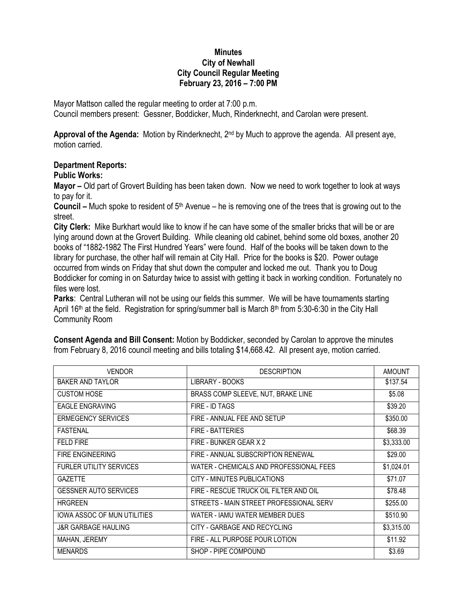## **Minutes City of Newhall City Council Regular Meeting February 23, 2016 – 7:00 PM**

Mayor Mattson called the regular meeting to order at 7:00 p.m. Council members present: Gessner, Boddicker, Much, Rinderknecht, and Carolan were present.

**Approval of the Agenda:** Motion by Rinderknecht, 2nd by Much to approve the agenda. All present aye, motion carried.

## **Department Reports:**

## **Public Works:**

**Mayor –** Old part of Grovert Building has been taken down. Now we need to work together to look at ways to pay for it.

**Council –** Much spoke to resident of 5th Avenue – he is removing one of the trees that is growing out to the street.

**City Clerk:** Mike Burkhart would like to know if he can have some of the smaller bricks that will be or are lying around down at the Grovert Building. While cleaning old cabinet, behind some old boxes, another 20 books of "1882-1982 The First Hundred Years" were found. Half of the books will be taken down to the library for purchase, the other half will remain at City Hall. Price for the books is \$20. Power outage occurred from winds on Friday that shut down the computer and locked me out. Thank you to Doug Boddicker for coming in on Saturday twice to assist with getting it back in working condition. Fortunately no files were lost.

**Parks**: Central Lutheran will not be using our fields this summer. We will be have tournaments starting April 16<sup>th</sup> at the field. Registration for spring/summer ball is March 8<sup>th</sup> from 5:30-6:30 in the City Hall Community Room

| <b>VENDOR</b>                      | <b>DESCRIPTION</b>                      | <b>AMOUNT</b> |
|------------------------------------|-----------------------------------------|---------------|
| <b>BAKER AND TAYLOR</b>            | LIBRARY - BOOKS                         | \$137.54      |
| <b>CUSTOM HOSE</b>                 | BRASS COMP SLEEVE, NUT, BRAKE LINE      | \$5.08        |
| <b>EAGLE ENGRAVING</b>             | FIRE - ID TAGS                          | \$39.20       |
| <b>ERMEGENCY SERVICES</b>          | FIRE - ANNUAL FEE AND SETUP             | \$350.00      |
| <b>FASTENAL</b>                    | <b>FIRE - BATTERIES</b>                 | \$68.39       |
| <b>FELD FIRE</b>                   | FIRE - BUNKER GEAR X 2                  | \$3,333.00    |
| <b>FIRE ENGINEERING</b>            | FIRE - ANNUAL SUBSCRIPTION RENEWAL      | \$29.00       |
| <b>FURLER UTILITY SERVICES</b>     | WATER - CHEMICALS AND PROFESSIONAL FEES | \$1,024.01    |
| <b>GAZETTE</b>                     | CITY - MINUTES PUBLICATIONS             | \$71.07       |
| <b>GESSNER AUTO SERVICES</b>       | FIRE - RESCUE TRUCK OIL FILTER AND OIL  | \$78.48       |
| <b>HRGREEN</b>                     | STREETS - MAIN STREET PROFESSIONAL SERV | \$255.00      |
| <b>IOWA ASSOC OF MUN UTILITIES</b> | WATER - IAMU WATER MEMBER DUES          | \$510.90      |
| <b>J&amp;R GARBAGE HAULING</b>     | CITY - GARBAGE AND RECYCLING            | \$3,315.00    |
| MAHAN, JEREMY                      | FIRE - ALL PURPOSE POUR LOTION          | \$11.92       |
| <b>MENARDS</b>                     | SHOP - PIPE COMPOUND                    | \$3.69        |

**Consent Agenda and Bill Consent:** Motion by Boddicker, seconded by Carolan to approve the minutes from February 8, 2016 council meeting and bills totaling \$14,668.42. All present aye, motion carried.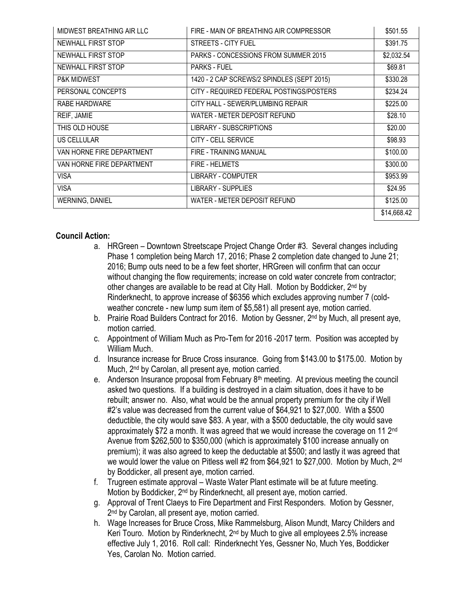| MIDWEST BREATHING AIR LLC | FIRE - MAIN OF BREATHING AIR COMPRESSOR    | \$501.55    |
|---------------------------|--------------------------------------------|-------------|
| NEWHALL FIRST STOP        | STREETS - CITY FUEL                        | \$391.75    |
| NEWHALL FIRST STOP        | PARKS - CONCESSIONS FROM SUMMER 2015       | \$2,032.54  |
| NEWHALL FIRST STOP        | <b>PARKS - FUEL</b>                        | \$69.81     |
| <b>P&amp;K MIDWEST</b>    | 1420 - 2 CAP SCREWS/2 SPINDLES (SEPT 2015) | \$330.28    |
| PERSONAL CONCEPTS         | CITY - REQUIRED FEDERAL POSTINGS/POSTERS   | \$234.24    |
| RABE HARDWARE             | CITY HALL - SEWER/PLUMBING REPAIR          | \$225.00    |
| REIF, JAMIE               | WATER - METER DEPOSIT REFUND               | \$28.10     |
| THIS OLD HOUSE            | LIBRARY - SUBSCRIPTIONS                    | \$20.00     |
| US CELLULAR               | CITY - CELL SERVICE                        | \$98.93     |
| VAN HORNE FIRE DEPARTMENT | FIRE - TRAINING MANUAL                     | \$100.00    |
| VAN HORNE FIRE DEPARTMENT | <b>FIRE - HELMETS</b>                      | \$300.00    |
| <b>VISA</b>               | <b>LIBRARY - COMPUTER</b>                  | \$953.99    |
| <b>VISA</b>               | LIBRARY - SUPPLIES                         | \$24.95     |
| WERNING, DANIEL           | WATER - METER DEPOSIT REFUND               | \$125.00    |
|                           |                                            | \$14,668.42 |

## **Council Action:**

- a. HRGreen Downtown Streetscape Project Change Order #3. Several changes including Phase 1 completion being March 17, 2016; Phase 2 completion date changed to June 21; 2016; Bump outs need to be a few feet shorter, HRGreen will confirm that can occur without changing the flow requirements; increase on cold water concrete from contractor; other changes are available to be read at City Hall. Motion by Boddicker, 2<sup>nd</sup> by Rinderknecht, to approve increase of \$6356 which excludes approving number 7 (coldweather concrete - new lump sum item of \$5,581) all present aye, motion carried.
- b. Prairie Road Builders Contract for 2016. Motion by Gessner, 2<sup>nd</sup> by Much, all present aye, motion carried.
- c. Appointment of William Much as Pro-Tem for 2016 -2017 term. Position was accepted by William Much.
- d. Insurance increase for Bruce Cross insurance. Going from \$143.00 to \$175.00. Motion by Much, 2<sup>nd</sup> by Carolan, all present aye, motion carried.
- e. Anderson Insurance proposal from February  $8<sup>th</sup>$  meeting. At previous meeting the council asked two questions. If a building is destroyed in a claim situation, does it have to be rebuilt; answer no. Also, what would be the annual property premium for the city if Well #2's value was decreased from the current value of \$64,921 to \$27,000. With a \$500 deductible, the city would save \$83. A year, with a \$500 deductable, the city would save approximately \$72 a month. It was agreed that we would increase the coverage on 11 2<sup>nd</sup> Avenue from \$262,500 to \$350,000 (which is approximately \$100 increase annually on premium); it was also agreed to keep the deductable at \$500; and lastly it was agreed that we would lower the value on Pitless well #2 from \$64,921 to \$27,000. Motion by Much, 2nd by Boddicker, all present aye, motion carried.
- f. Trugreen estimate approval Waste Water Plant estimate will be at future meeting. Motion by Boddicker, 2<sup>nd</sup> by Rinderknecht, all present aye, motion carried.
- g. Approval of Trent Claeys to Fire Department and First Responders. Motion by Gessner, 2<sup>nd</sup> by Carolan, all present aye, motion carried.
- h. Wage Increases for Bruce Cross, Mike Rammelsburg, Alison Mundt, Marcy Childers and Keri Touro. Motion by Rinderknecht,  $2^{nd}$  by Much to give all employees 2.5% increase effective July 1, 2016. Roll call: Rinderknecht Yes, Gessner No, Much Yes, Boddicker Yes, Carolan No. Motion carried.